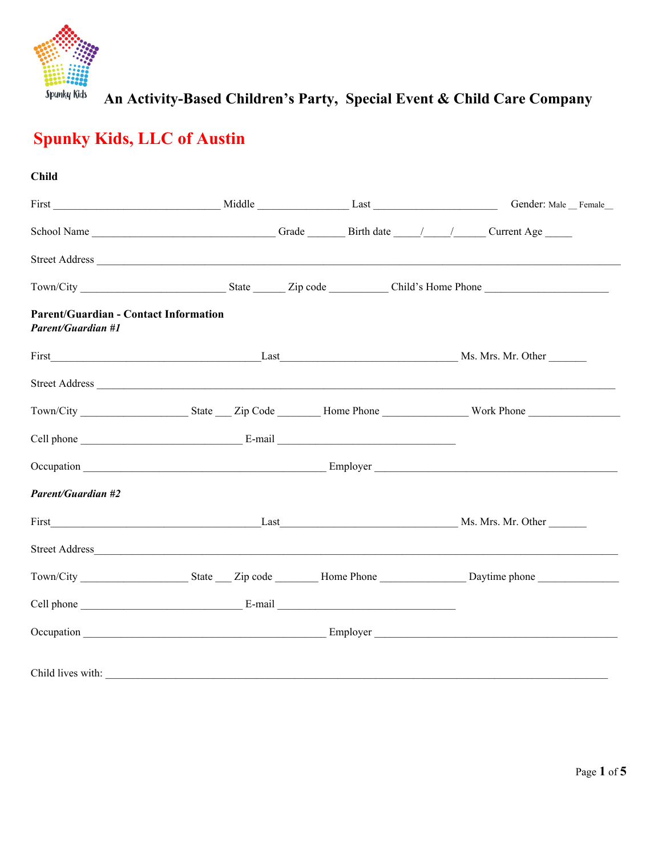

# **Spunky Kids, LLC of Austin**

| <b>Child</b>                                                              |  |  |
|---------------------------------------------------------------------------|--|--|
| First Gender: Male Female                                                 |  |  |
|                                                                           |  |  |
|                                                                           |  |  |
|                                                                           |  |  |
| <b>Parent/Guardian - Contact Information</b><br><b>Parent/Guardian #1</b> |  |  |
|                                                                           |  |  |
|                                                                           |  |  |
|                                                                           |  |  |
|                                                                           |  |  |
|                                                                           |  |  |
| <b>Parent/Guardian #2</b>                                                 |  |  |
|                                                                           |  |  |
|                                                                           |  |  |
|                                                                           |  |  |
|                                                                           |  |  |
|                                                                           |  |  |
|                                                                           |  |  |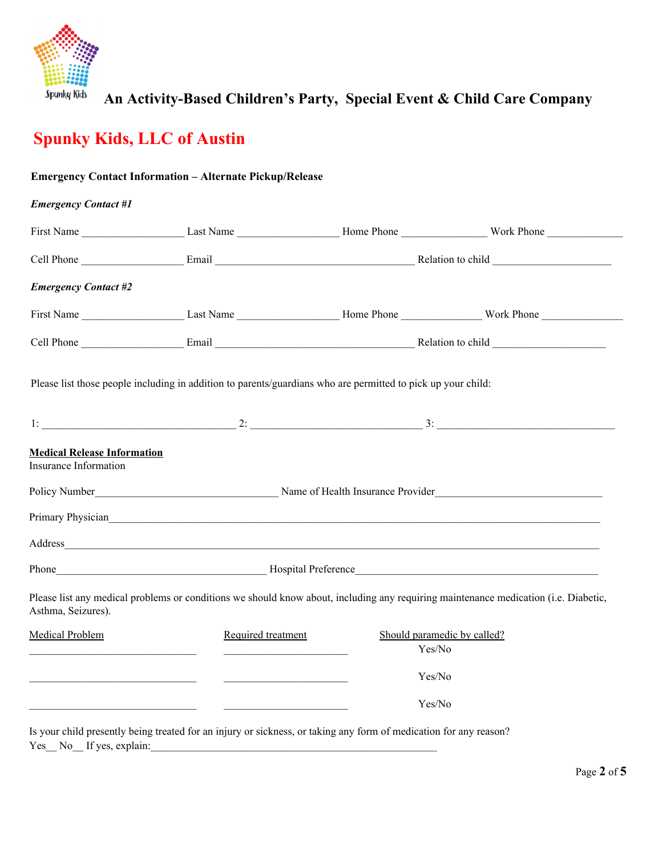

# **Spunky Kids, LLC of Austin**

|                                                                                           | <b>Emergency Contact Information - Alternate Pickup/Release</b>                                              |        |                                                                                                                                     |
|-------------------------------------------------------------------------------------------|--------------------------------------------------------------------------------------------------------------|--------|-------------------------------------------------------------------------------------------------------------------------------------|
| <b>Emergency Contact #1</b>                                                               |                                                                                                              |        |                                                                                                                                     |
|                                                                                           |                                                                                                              |        |                                                                                                                                     |
|                                                                                           |                                                                                                              |        |                                                                                                                                     |
| <b>Emergency Contact #2</b>                                                               |                                                                                                              |        |                                                                                                                                     |
|                                                                                           |                                                                                                              |        | First Name Last Name Last Name Home Phone Work Phone                                                                                |
|                                                                                           |                                                                                                              |        |                                                                                                                                     |
|                                                                                           | Please list those people including in addition to parents/guardians who are permitted to pick up your child: |        |                                                                                                                                     |
|                                                                                           |                                                                                                              |        |                                                                                                                                     |
| <b>Medical Release Information</b><br>Insurance Information                               |                                                                                                              |        |                                                                                                                                     |
|                                                                                           |                                                                                                              |        |                                                                                                                                     |
|                                                                                           | Primary Physician https://www.assett.com/2010/2010/2010                                                      |        |                                                                                                                                     |
|                                                                                           |                                                                                                              |        |                                                                                                                                     |
|                                                                                           |                                                                                                              |        |                                                                                                                                     |
| Asthma, Seizures).                                                                        |                                                                                                              |        | Please list any medical problems or conditions we should know about, including any requiring maintenance medication (i.e. Diabetic, |
| <b>Medical Problem</b>                                                                    | Required treatment                                                                                           | Yes/No | Should paramedic by called?                                                                                                         |
| the control of the control of the control of the control of the control of the control of |                                                                                                              | Yes/No |                                                                                                                                     |
|                                                                                           |                                                                                                              | Yes/No |                                                                                                                                     |
|                                                                                           |                                                                                                              |        |                                                                                                                                     |

Is your child presently being treated for an injury or sickness, or taking any form of medication for any reason? Yes\_ No\_ If yes, explain: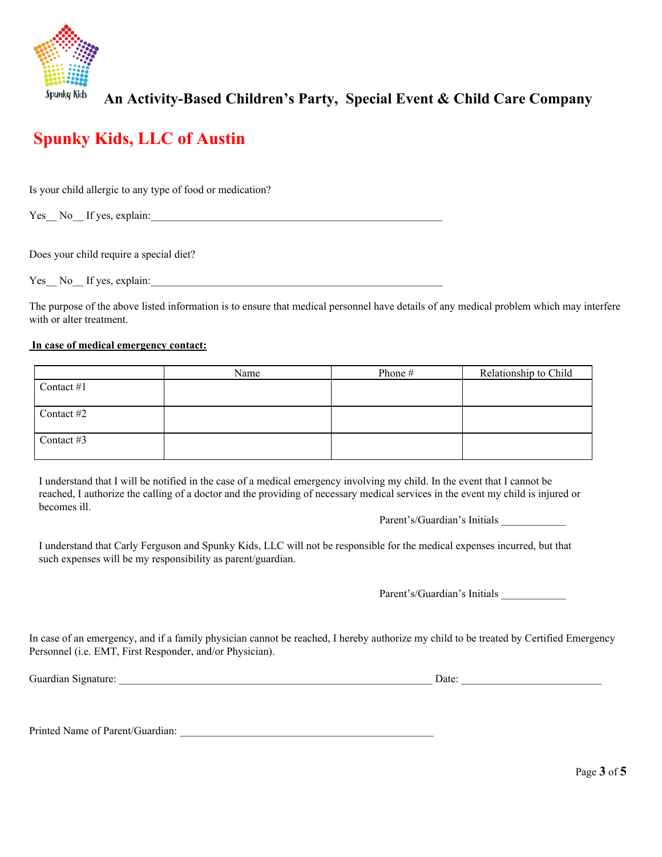

### **Spunky Kids, LLC of Austin**

Is your child allergic to any type of food or medication?

Yes No If yes, explain:

Does your child require a special diet?

Yes\_\_ No\_\_ If yes, explain:\_\_\_\_\_\_\_\_\_\_\_\_\_\_\_\_\_\_\_\_\_\_\_\_\_\_\_\_\_\_\_\_\_\_\_\_\_\_\_\_\_\_\_\_\_\_\_\_\_\_\_\_\_\_

The purpose of the above listed information is to ensure that medical personnel have details of any medical problem which may interfere with or alter treatment.

#### **In case of medical emergency contact:**

|              | Name | Phone# | Relationship to Child |
|--------------|------|--------|-----------------------|
| Contact $#1$ |      |        |                       |
|              |      |        |                       |
| Contact #2   |      |        |                       |
|              |      |        |                       |
| Contact #3   |      |        |                       |
|              |      |        |                       |

I understand that I will be notified in the case of a medical emergency involving my child. In the event that I cannot be reached, I authorize the calling of a doctor and the providing of necessary medical services in the event my child is injured or becomes ill.

Parent's/Guardian's Initials \_\_\_\_\_\_\_\_\_\_\_\_

I understand that Carly Ferguson and Spunky Kids, LLC will not be responsible for the medical expenses incurred, but that such expenses will be my responsibility as parent/guardian.

Parent's/Guardian's Initials \_\_\_\_\_\_\_\_\_\_\_\_

In case of an emergency, and if a family physician cannot be reached, I hereby authorize my child to be treated by Certified Emergency Personnel (i.e. EMT, First Responder, and/or Physician).

Guardian Signature:  $\Box$ 

Printed Name of Parent/Guardian: \_\_\_\_\_\_\_\_\_\_\_\_\_\_\_\_\_\_\_\_\_\_\_\_\_\_\_\_\_\_\_\_\_\_\_\_\_\_\_\_\_\_\_\_\_\_\_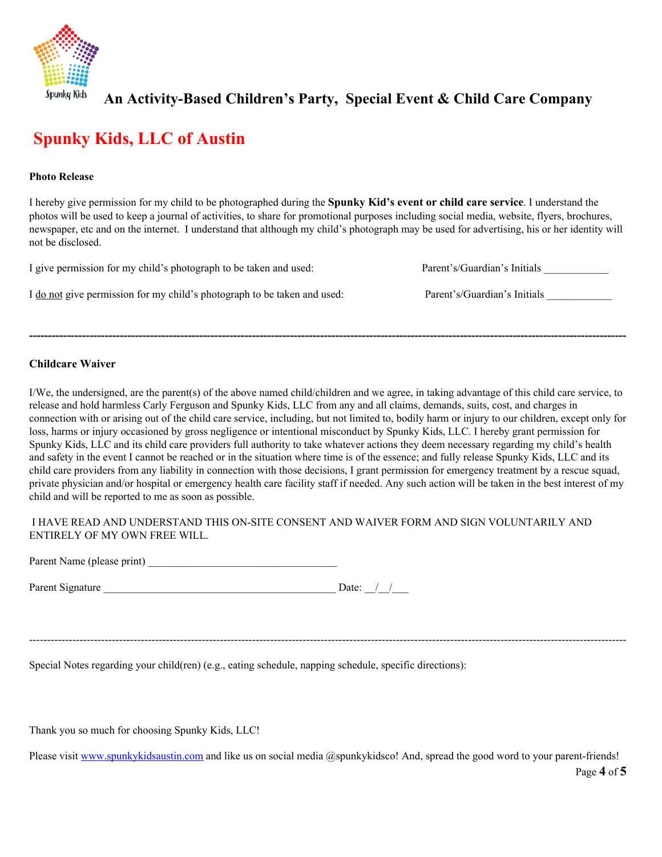

### **Spunky Kids, LLC of Austin**

#### **Photo Release**

I hereby give permission for my child to be photographed during the **Spunky Kid's event or child care service**. I understand the photos will be used to keep a journal of activities, to share for promotional purposes including social media, website, flyers, brochures, newspaper, etc and on the internet. I understand that although my child's photograph may be used for advertising, his or her identity will not be disclosed.

| I give permission for my child's photograph to be taken and used:        | Parent's/Guardian's Initials |
|--------------------------------------------------------------------------|------------------------------|
| I do not give permission for my child's photograph to be taken and used: | Parent's/Guardian's Initials |
|                                                                          |                              |
|                                                                          |                              |

#### **Childcare Waiver**

I/We, the undersigned, are the parent(s) of the above named child/children and we agree, in taking advantage of this child care service, to release and hold harmless Carly Ferguson and Spunky Kids, LLC from any and all claims, demands, suits, cost, and charges in connection with or arising out of the child care service, including, but not limited to, bodily harm or injury to our children, except only for loss, harms or injury occasioned by gross negligence or intentional misconduct by Spunky Kids, LLC. I hereby grant permission for Spunky Kids, LLC and its child care providers full authority to take whatever actions they deem necessary regarding my child's health and safety in the event I cannot be reached or in the situation where time is of the essence; and fully release Spunky Kids, LLC and its child care providers from any liability in connection with those decisions, I grant permission for emergency treatment by a rescue squad, private physician and/or hospital or emergency health care facility staff if needed. Any such action will be taken in the best interest of my child and will be reported to me as soon as possible.

#### I HAVE READ AND UNDERSTAND THIS ON-SITE CONSENT AND WAIVER FORM AND SIGN VOLUNTARILY AND ENTIRELY OF MY OWN FREE WILL.

Parent Name (please print)

Parent Signature Date:  $\frac{1}{2}$  Date:  $\frac{1}{2}$ 

----------------------------------------------------------------------------------------------------------------------------------------------------------------------

Special Notes regarding your child(ren) (e.g., eating schedule, napping schedule, specific directions):

Thank you so much for choosing Spunky Kids, LLC!

Please visit [www.spunkykidsaustin.com](http://www.spunkykidsaustin.com/) and like us on social media @spunkykidsco! And, spread the good word to your parent-friends!